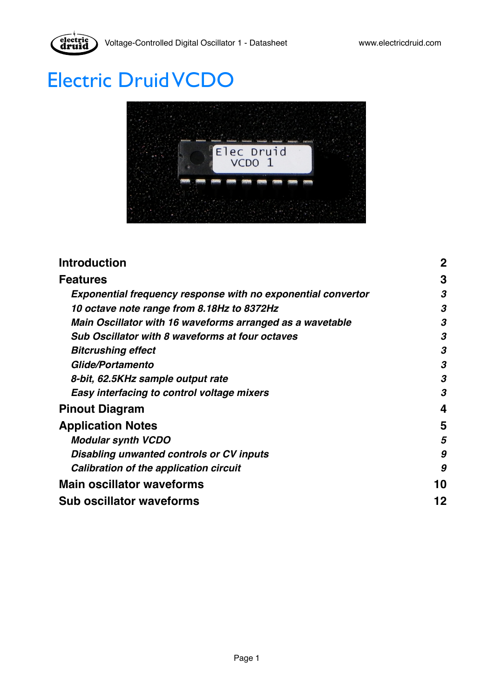

# Electric Druid VCDO



| <b>Introduction</b>                                                 | $\overline{2}$ |
|---------------------------------------------------------------------|----------------|
| <b>Features</b>                                                     | 3              |
| <b>Exponential frequency response with no exponential convertor</b> | 3              |
| 10 octave note range from 8.18Hz to 8372Hz                          | 3              |
| Main Oscillator with 16 waveforms arranged as a wavetable           | 3              |
| <b>Sub Oscillator with 8 waveforms at four octaves</b>              | 3              |
| <b>Bitcrushing effect</b>                                           | 3              |
| Glide/Portamento                                                    | 3              |
| 8-bit, 62.5KHz sample output rate                                   | 3              |
| Easy interfacing to control voltage mixers                          | 3              |
| <b>Pinout Diagram</b>                                               | 4              |
| <b>Application Notes</b>                                            | 5              |
| <b>Modular synth VCDO</b>                                           | 5              |
| Disabling unwanted controls or CV inputs                            | 9              |
| Calibration of the application circuit                              | 9              |
| <b>Main oscillator waveforms</b>                                    | 10             |
| <b>Sub oscillator waveforms</b>                                     | 12             |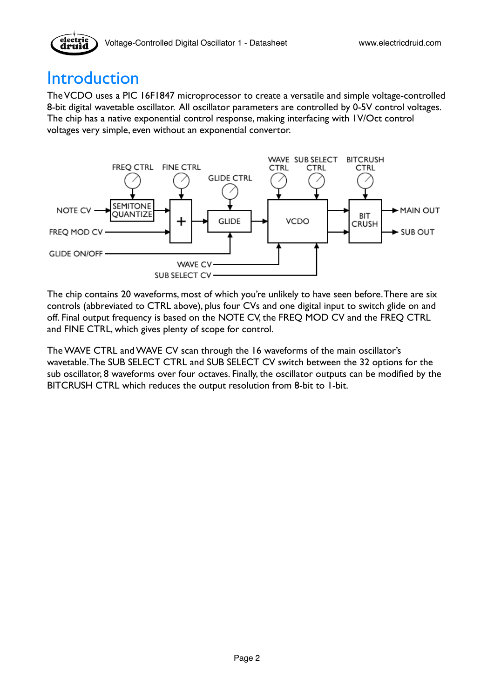

## <span id="page-1-0"></span>Introduction

The VCDO uses a PIC 16F1847 microprocessor to create a versatile and simple voltage-controlled 8-bit digital wavetable oscillator. All oscillator parameters are controlled by 0-5V control voltages. The chip has a native exponential control response, making interfacing with 1V/Oct control voltages very simple, even without an exponential convertor.



The chip contains 20 waveforms, most of which you're unlikely to have seen before. There are six controls (abbreviated to CTRL above), plus four CVs and one digital input to switch glide on and off. Final output frequency is based on the NOTE CV, the FREQ MOD CV and the FREQ CTRL and FINE CTRL, which gives plenty of scope for control.

The WAVE CTRL and WAVE CV scan through the 16 waveforms of the main oscillator's wavetable. The SUB SELECT CTRL and SUB SELECT CV switch between the 32 options for the sub oscillator, 8 waveforms over four octaves. Finally, the oscillator outputs can be modified by the BITCRUSH CTRL which reduces the output resolution from 8-bit to 1-bit.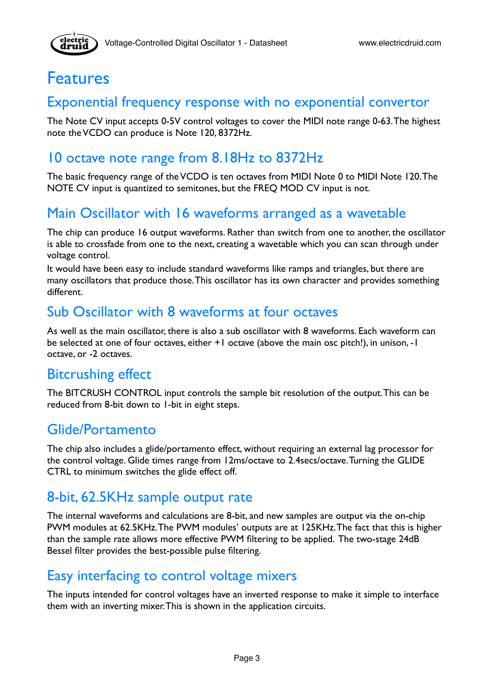

### <span id="page-2-0"></span>Features

#### <span id="page-2-1"></span>Exponential frequency response with no exponential convertor

The Note CV input accepts 0-5V control voltages to cover the MIDI note range 0-63. The highest note the VCDO can produce is Note 120, 8372Hz.

#### <span id="page-2-2"></span>10 octave note range from 8.18Hz to 8372Hz

The basic frequency range of the VCDO is ten octaves from MIDI Note 0 to MIDI Note 120. The NOTE CV input is quantized to semitones, but the FREQ MOD CV input is not.

#### <span id="page-2-3"></span>Main Oscillator with 16 waveforms arranged as a wavetable

The chip can produce 16 output waveforms. Rather than switch from one to another, the oscillator is able to crossfade from one to the next, creating a wavetable which you can scan through under voltage control.

It would have been easy to include standard waveforms like ramps and triangles, but there are many oscillators that produce those. This oscillator has its own character and provides something different.

#### <span id="page-2-4"></span>Sub Oscillator with 8 waveforms at four octaves

As well as the main oscillator, there is also a sub oscillator with 8 waveforms. Each waveform can be selected at one of four octaves, either +1 octave (above the main osc pitch!), in unison, -1 octave, or -2 octaves.

#### <span id="page-2-5"></span>Bitcrushing effect

The BITCRUSH CONTROL input controls the sample bit resolution of the output. This can be reduced from 8-bit down to 1-bit in eight steps.

#### <span id="page-2-6"></span>Glide/Portamento

The chip also includes a glide/portamento effect, without requiring an external lag processor for the control voltage. Glide times range from 12ms/octave to 2.4secs/octave. Turning the GLIDE CTRL to minimum switches the glide effect off.

#### <span id="page-2-7"></span>8-bit, 62.5KHz sample output rate

The internal waveforms and calculations are 8-bit, and new samples are output via the on-chip PWM modules at 62.5KHz. The PWM modules' outputs are at 125KHz. The fact that this is higher than the sample rate allows more effective PWM filtering to be applied. The two-stage 24dB Bessel filter provides the best-possible pulse filtering.

#### <span id="page-2-8"></span>Easy interfacing to control voltage mixers

The inputs intended for control voltages have an inverted response to make it simple to interface them with an inverting mixer. This is shown in the application circuits.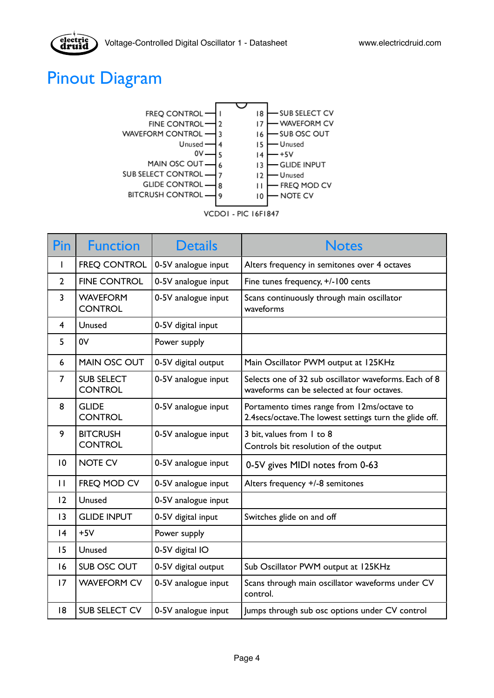

## <span id="page-3-0"></span>Pinout Diagram



|  | VCDOI - PIC 16F1847 |  |  |  |
|--|---------------------|--|--|--|
|--|---------------------|--|--|--|

| Pin            | <b>Function</b>                     | <b>Details</b>      | <b>Notes</b>                                                                                          |
|----------------|-------------------------------------|---------------------|-------------------------------------------------------------------------------------------------------|
| I.             | <b>FREQ CONTROL</b>                 | 0-5V analogue input | Alters frequency in semitones over 4 octaves                                                          |
| $\overline{2}$ | <b>FINE CONTROL</b>                 | 0-5V analogue input | Fine tunes frequency, +/-100 cents                                                                    |
| 3              | <b>WAVEFORM</b><br><b>CONTROL</b>   | 0-5V analogue input | Scans continuously through main oscillator<br>waveforms                                               |
| 4              | Unused                              | 0-5V digital input  |                                                                                                       |
| 5              | 0V                                  | Power supply        |                                                                                                       |
| 6              | <b>MAIN OSC OUT</b>                 | 0-5V digital output | Main Oscillator PWM output at 125KHz                                                                  |
| 7              | <b>SUB SELECT</b><br><b>CONTROL</b> | 0-5V analogue input | Selects one of 32 sub oscillator waveforms. Each of 8<br>waveforms can be selected at four octaves.   |
| 8              | <b>GLIDE</b><br><b>CONTROL</b>      | 0-5V analogue input | Portamento times range from 12ms/octave to<br>2.4secs/octave. The lowest settings turn the glide off. |
| 9              | <b>BITCRUSH</b><br><b>CONTROL</b>   | 0-5V analogue input | 3 bit, values from 1 to 8<br>Controls bit resolution of the output                                    |
| 10             | <b>NOTE CV</b>                      | 0-5V analogue input | 0-5V gives MIDI notes from 0-63                                                                       |
| $\mathbf{I}$   | FREQ MOD CV                         | 0-5V analogue input | Alters frequency +/-8 semitones                                                                       |
| 12             | Unused                              | 0-5V analogue input |                                                                                                       |
| 13             | <b>GLIDE INPUT</b>                  | 0-5V digital input  | Switches glide on and off                                                                             |
| 4              | $+5V$                               | Power supply        |                                                                                                       |
| 15             | Unused                              | 0-5V digital IO     |                                                                                                       |
| 16             | SUB OSC OUT                         | 0-5V digital output | Sub Oscillator PWM output at 125KHz                                                                   |
| 17             | <b>WAVEFORM CV</b>                  | 0-5V analogue input | Scans through main oscillator waveforms under CV<br>control.                                          |
| 8              | <b>SUB SELECT CV</b>                | 0-5V analogue input | Jumps through sub osc options under CV control                                                        |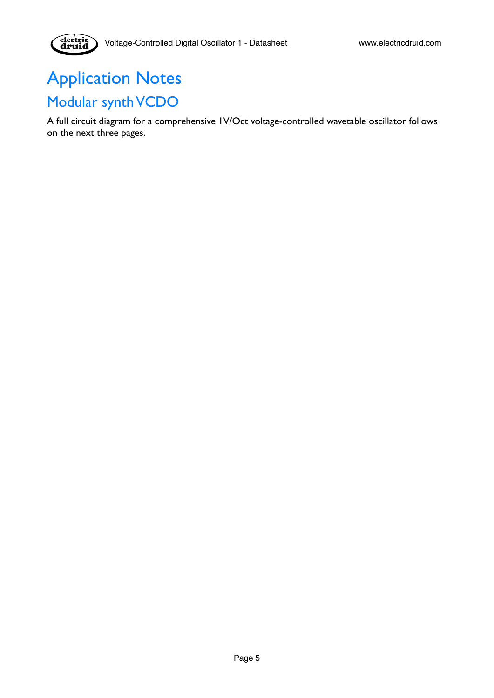## <span id="page-4-1"></span><span id="page-4-0"></span>Application Notes Modular synth VCDO

electric<br>druid

A full circuit diagram for a comprehensive 1V/Oct voltage-controlled wavetable oscillator follows on the next three pages.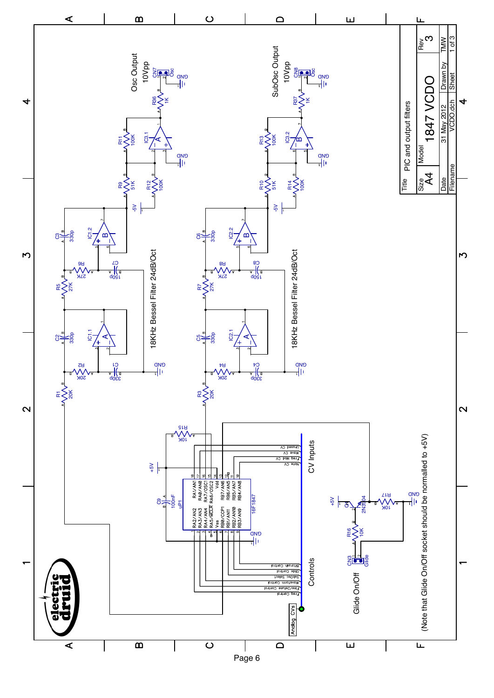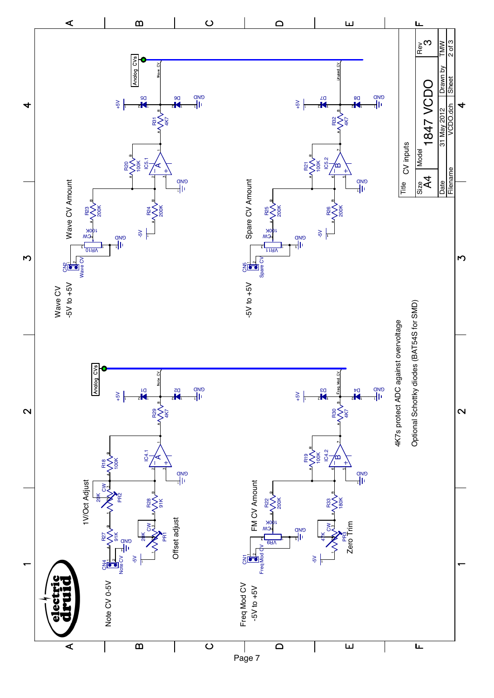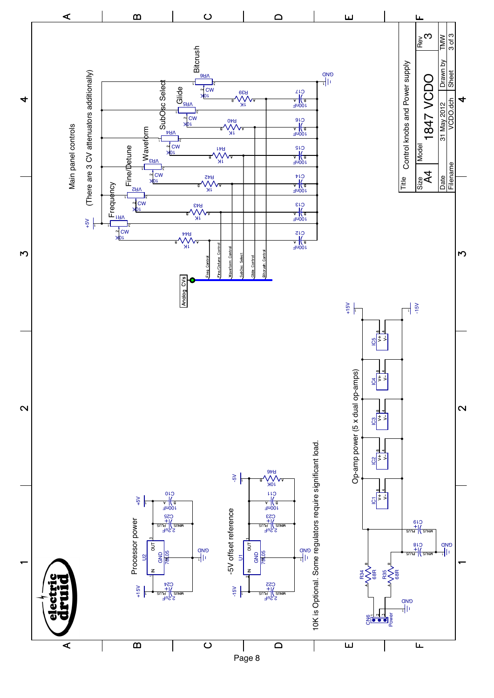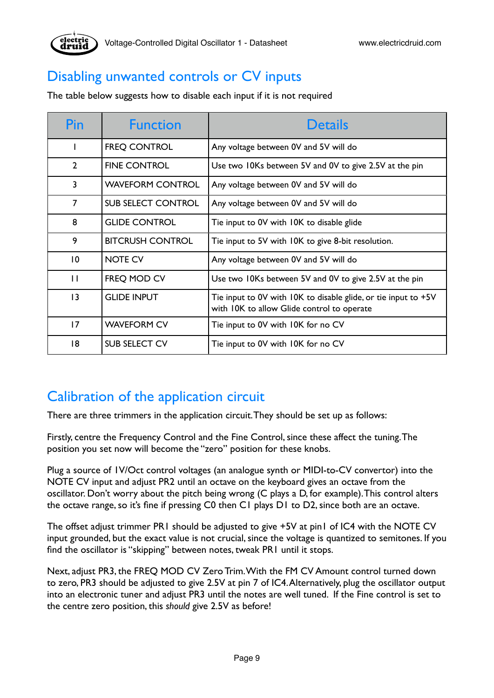

### <span id="page-8-0"></span>Disabling unwanted controls or CV inputs

The table below suggests how to disable each input if it is not required

| Pin             | <b>Function</b>           | <b>Details</b>                                                                                               |
|-----------------|---------------------------|--------------------------------------------------------------------------------------------------------------|
|                 | <b>FREQ CONTROL</b>       | Any voltage between 0V and 5V will do                                                                        |
| $\overline{2}$  | <b>FINE CONTROL</b>       | Use two 10Ks between 5V and 0V to give 2.5V at the pin                                                       |
| 3               | <b>WAVEFORM CONTROL</b>   | Any voltage between 0V and 5V will do                                                                        |
| $\overline{7}$  | <b>SUB SELECT CONTROL</b> | Any voltage between 0V and 5V will do                                                                        |
| 8               | <b>GLIDE CONTROL</b>      | Tie input to 0V with 10K to disable glide                                                                    |
| 9               | <b>BITCRUSH CONTROL</b>   | Tie input to 5V with IOK to give 8-bit resolution.                                                           |
| 10              | <b>NOTE CV</b>            | Any voltage between 0V and 5V will do                                                                        |
| $\mathbf{H}$    | FREQ MOD CV               | Use two 10Ks between 5V and 0V to give 2.5V at the pin                                                       |
| $\overline{13}$ | <b>GLIDE INPUT</b>        | Tie input to 0V with 10K to disable glide, or tie input to +5V<br>with IOK to allow Glide control to operate |
| 17              | <b>WAVEFORM CV</b>        | Tie input to 0V with 10K for no CV                                                                           |
| 18              | <b>SUB SELECT CV</b>      | Tie input to 0V with 10K for no CV                                                                           |

### <span id="page-8-1"></span>Calibration of the application circuit

There are three trimmers in the application circuit. They should be set up as follows:

Firstly, centre the Frequency Control and the Fine Control, since these affect the tuning. The position you set now will become the "zero" position for these knobs.

Plug a source of 1V/Oct control voltages (an analogue synth or MIDI-to-CV convertor) into the NOTE CV input and adjust PR2 until an octave on the keyboard gives an octave from the oscillator. Don't worry about the pitch being wrong (C plays a D, for example). This control alters the octave range, so it's fine if pressing C0 then C1 plays D1 to D2, since both are an octave.

The offset adjust trimmer PR1 should be adjusted to give +5V at pin1 of IC4 with the NOTE CV input grounded, but the exact value is not crucial, since the voltage is quantized to semitones. If you find the oscillator is "skipping" between notes, tweak PR1 until it stops.

Next, adjust PR3, the FREQ MOD CV Zero Trim. With the FM CV Amount control turned down to zero, PR3 should be adjusted to give 2.5V at pin 7 of IC4. Alternatively, plug the oscillator output into an electronic tuner and adjust PR3 until the notes are well tuned. If the Fine control is set to the centre zero position, this *should* give 2.5V as before!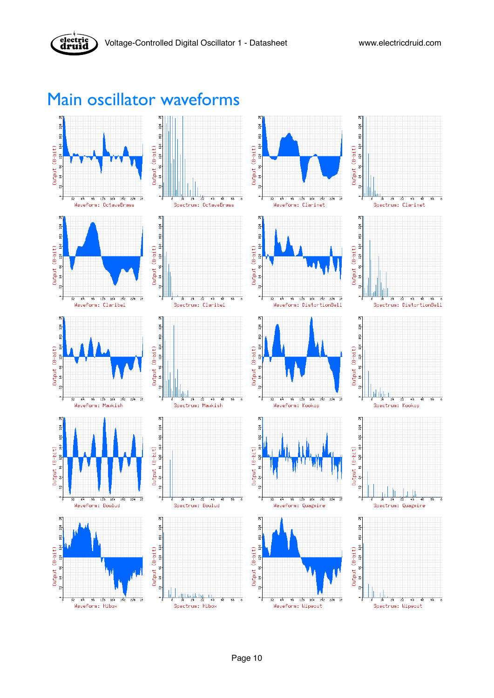

## <span id="page-9-0"></span>Main oscillator waveforms

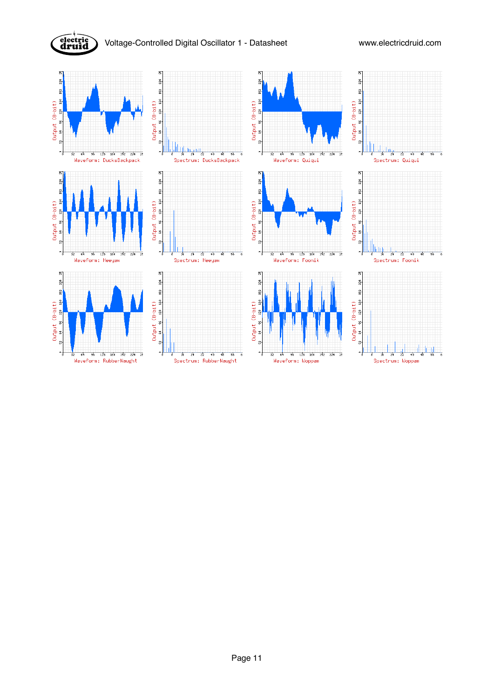